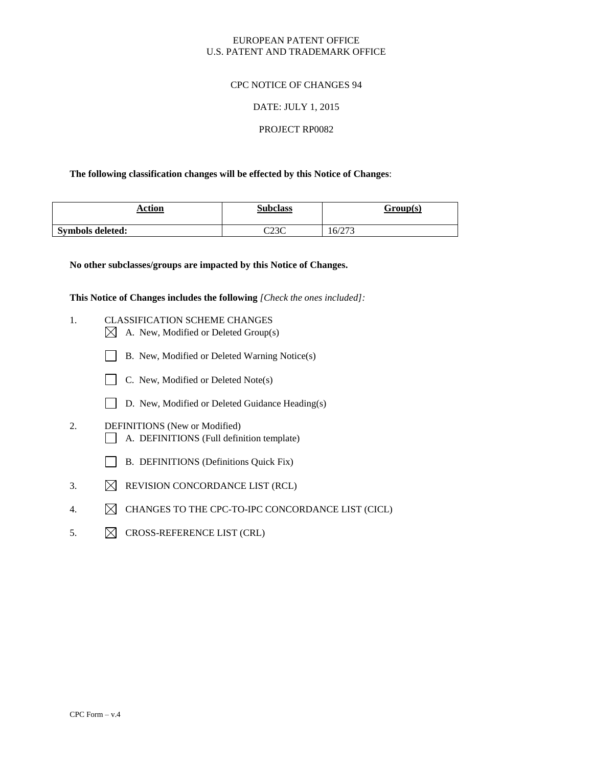## EUROPEAN PATENT OFFICE U.S. PATENT AND TRADEMARK OFFICE

## CPC NOTICE OF CHANGES 94

### DATE: JULY 1, 2015

### PROJECT RP0082

### **The following classification changes will be effected by this Notice of Changes**:

| Action<br>_____         | <b>Subclass</b> | Group(s) |  |
|-------------------------|-----------------|----------|--|
| <b>Symbols deleted:</b> | റാറ<br>بالكاب   | 16/273   |  |

**No other subclasses/groups are impacted by this Notice of Changes.**

**This Notice of Changes includes the following** *[Check the ones included]:*

- 1. CLASSIFICATION SCHEME CHANGES  $\boxtimes$  A. New, Modified or Deleted Group(s)
	- B. New, Modified or Deleted Warning Notice(s)
	- C. New, Modified or Deleted Note(s)
	- D. New, Modified or Deleted Guidance Heading(s)
- 2. DEFINITIONS (New or Modified) A. DEFINITIONS (Full definition template)
	- B. DEFINITIONS (Definitions Quick Fix)
- 3.  $\boxtimes$  REVISION CONCORDANCE LIST (RCL)
- 4. MICHANGES TO THE CPC-TO-IPC CONCORDANCE LIST (CICL)
- 5.  $\boxtimes$  CROSS-REFERENCE LIST (CRL)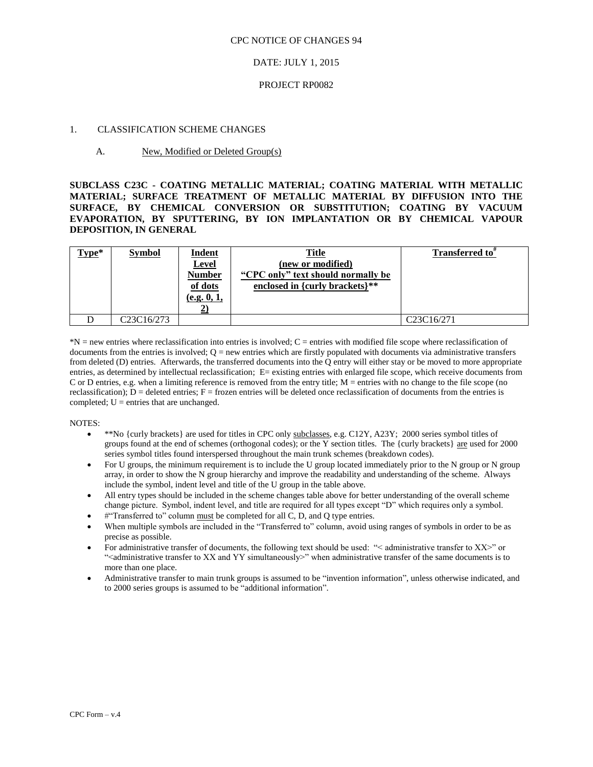#### DATE: JULY 1, 2015

#### PROJECT RP0082

#### 1. CLASSIFICATION SCHEME CHANGES

#### A. New, Modified or Deleted Group(s)

**SUBCLASS C23C - COATING METALLIC MATERIAL; COATING MATERIAL WITH METALLIC MATERIAL; SURFACE TREATMENT OF METALLIC MATERIAL BY DIFFUSION INTO THE SURFACE, BY CHEMICAL CONVERSION OR SUBSTITUTION; COATING BY VACUUM EVAPORATION, BY SPUTTERING, BY ION IMPLANTATION OR BY CHEMICAL VAPOUR DEPOSITION, IN GENERAL**

| $Type*$ | <b>Symbol</b> | <b>Indent</b><br><b>Level</b><br><b>Number</b><br>of dots<br>(e.g. 0, 1, | <b>Title</b><br>(new or modified)<br>"CPC only" text should normally be<br>enclosed in {curly brackets}** | Transferred to"                                  |
|---------|---------------|--------------------------------------------------------------------------|-----------------------------------------------------------------------------------------------------------|--------------------------------------------------|
|         | C23C16/273    |                                                                          |                                                                                                           | C <sub>23</sub> C <sub>16</sub> /27 <sub>1</sub> |

\*N = new entries where reclassification into entries is involved; C = entries with modified file scope where reclassification of documents from the entries is involved;  $Q =$  new entries which are firstly populated with documents via administrative transfers from deleted (D) entries. Afterwards, the transferred documents into the Q entry will either stay or be moved to more appropriate entries, as determined by intellectual reclassification; E= existing entries with enlarged file scope, which receive documents from C or D entries, e.g. when a limiting reference is removed from the entry title; M = entries with no change to the file scope (no reclassification);  $D =$  deleted entries;  $F =$  frozen entries will be deleted once reclassification of documents from the entries is completed;  $U =$  entries that are unchanged.

- \*\*No {curly brackets} are used for titles in CPC only subclasses, e.g. C12Y, A23Y; 2000 series symbol titles of groups found at the end of schemes (orthogonal codes); or the Y section titles. The {curly brackets} are used for 2000 series symbol titles found interspersed throughout the main trunk schemes (breakdown codes).
- For U groups, the minimum requirement is to include the U group located immediately prior to the N group or N group array, in order to show the N group hierarchy and improve the readability and understanding of the scheme. Always include the symbol, indent level and title of the U group in the table above.
- All entry types should be included in the scheme changes table above for better understanding of the overall scheme change picture. Symbol, indent level, and title are required for all types except "D" which requires only a symbol.
- #"Transferred to" column must be completed for all C, D, and Q type entries.
- When multiple symbols are included in the "Transferred to" column, avoid using ranges of symbols in order to be as precise as possible.
- For administrative transfer of documents, the following text should be used: "< administrative transfer to XX>" or "<administrative transfer to XX and YY simultaneously>" when administrative transfer of the same documents is to more than one place.
- Administrative transfer to main trunk groups is assumed to be "invention information", unless otherwise indicated, and to 2000 series groups is assumed to be "additional information".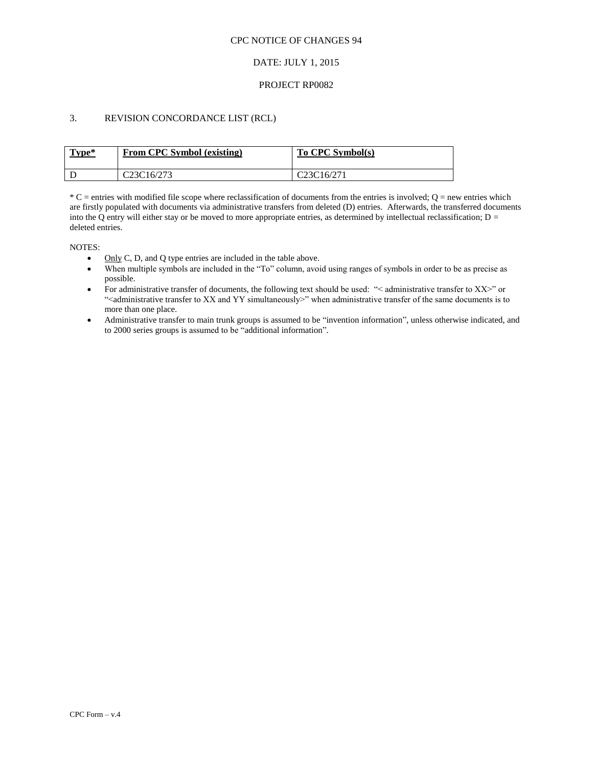## DATE: JULY 1, 2015

### PROJECT RP0082

## 3. REVISION CONCORDANCE LIST (RCL)

| Type* | From CPC Symbol (existing) | To CPC Symbol(s)                                 |
|-------|----------------------------|--------------------------------------------------|
|       | C23C16/273                 | C <sub>23</sub> C <sub>16</sub> /27 <sub>1</sub> |

 $*C$  = entries with modified file scope where reclassification of documents from the entries is involved;  $Q$  = new entries which are firstly populated with documents via administrative transfers from deleted (D) entries. Afterwards, the transferred documents into the Q entry will either stay or be moved to more appropriate entries, as determined by intellectual reclassification;  $D =$ deleted entries.

- Only C, D, and O type entries are included in the table above.
- When multiple symbols are included in the "To" column, avoid using ranges of symbols in order to be as precise as possible.
- For administrative transfer of documents, the following text should be used: "< administrative transfer to XX>" or "<administrative transfer to XX and YY simultaneously>" when administrative transfer of the same documents is to more than one place.
- Administrative transfer to main trunk groups is assumed to be "invention information", unless otherwise indicated, and to 2000 series groups is assumed to be "additional information".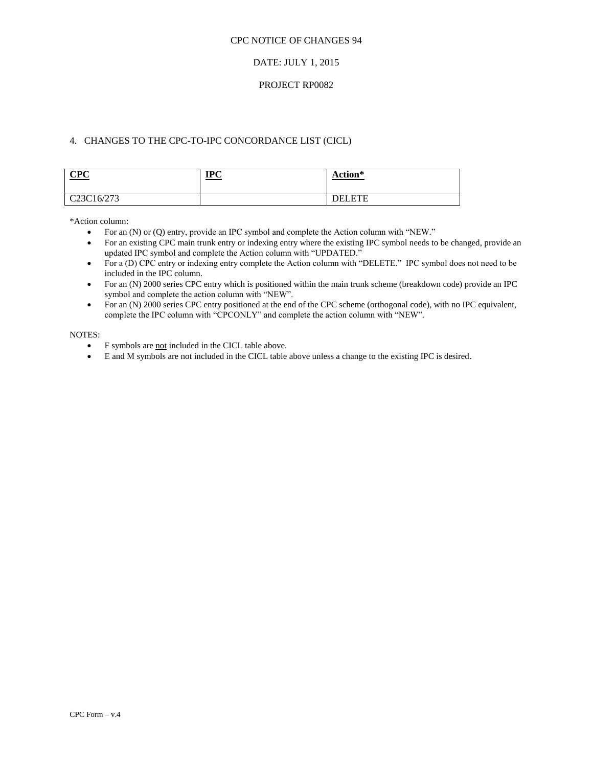### DATE: JULY 1, 2015

### PROJECT RP0082

## 4. CHANGES TO THE CPC-TO-IPC CONCORDANCE LIST (CICL)

| CPC                                  | TPC<br>11 U | Action*<br>$\sim$ $\sim$ $\sim$ |
|--------------------------------------|-------------|---------------------------------|
| C <sub>23</sub> C <sub>16</sub> /273 |             | <b>DEI ETE</b>                  |

\*Action column:

- For an (N) or (Q) entry, provide an IPC symbol and complete the Action column with "NEW."
- For an existing CPC main trunk entry or indexing entry where the existing IPC symbol needs to be changed, provide an updated IPC symbol and complete the Action column with "UPDATED."
- For a (D) CPC entry or indexing entry complete the Action column with "DELETE." IPC symbol does not need to be included in the IPC column.
- For an (N) 2000 series CPC entry which is positioned within the main trunk scheme (breakdown code) provide an IPC symbol and complete the action column with "NEW".
- For an (N) 2000 series CPC entry positioned at the end of the CPC scheme (orthogonal code), with no IPC equivalent, complete the IPC column with "CPCONLY" and complete the action column with "NEW".

- F symbols are not included in the CICL table above.
- E and M symbols are not included in the CICL table above unless a change to the existing IPC is desired.